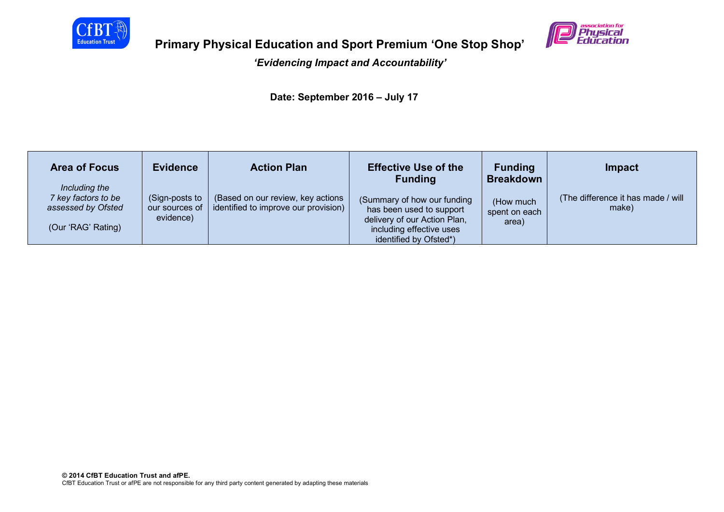

# **Primary Physical Education and Sport Premium 'One Stop Shop'**

## *'Evidencing Impact and Accountability'*

 **Date: September 2016 – July 17**

| <b>Area of Focus</b><br>Including the                           | <b>Evidence</b>                               | <b>Action Plan</b>                                                        | <b>Effective Use of the</b><br><b>Funding</b>                                                                                                 | <b>Funding</b><br><b>Breakdown</b>  | Impact                                       |
|-----------------------------------------------------------------|-----------------------------------------------|---------------------------------------------------------------------------|-----------------------------------------------------------------------------------------------------------------------------------------------|-------------------------------------|----------------------------------------------|
| 7 key factors to be<br>assessed by Ofsted<br>(Our 'RAG' Rating) | (Sign-posts to<br>our sources of<br>evidence) | (Based on our review, key actions<br>identified to improve our provision) | (Summary of how our funding<br>has been used to support<br>delivery of our Action Plan,<br>including effective uses<br>identified by Ofsted*) | (How much<br>spent on each<br>area) | (The difference it has made / will)<br>make) |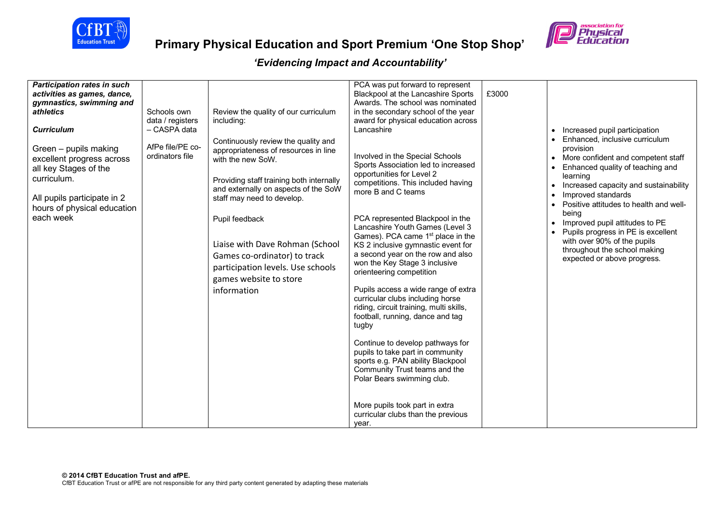



| <b>Participation rates in such</b><br>activities as games, dance,<br>gymnastics, swimming and<br>athletics<br><b>Curriculum</b><br>Green - pupils making<br>excellent progress across<br>all key Stages of the<br>curriculum.<br>All pupils participate in 2<br>hours of physical education<br>each week | Schools own<br>data / registers<br>- CASPA data<br>AfPe file/PE co-<br>ordinators file | Review the quality of our curriculum<br>including:<br>Continuously review the quality and<br>appropriateness of resources in line<br>with the new SoW.<br>Providing staff training both internally<br>and externally on aspects of the SoW<br>staff may need to develop.<br>Pupil feedback<br>Liaise with Dave Rohman (School<br>Games co-ordinator) to track<br>participation levels. Use schools<br>games website to store<br>information | PCA was put forward to represent<br>Blackpool at the Lancashire Sports<br>Awards. The school was nominated<br>in the secondary school of the year<br>award for physical education across<br>Lancashire<br>Involved in the Special Schools<br>Sports Association led to increased<br>opportunities for Level 2<br>competitions. This included having<br>more B and C teams<br>PCA represented Blackpool in the<br>Lancashire Youth Games (Level 3<br>Games). PCA came 1 <sup>st</sup> place in the<br>KS 2 inclusive gymnastic event for<br>a second year on the row and also<br>won the Key Stage 3 inclusive<br>orienteering competition<br>Pupils access a wide range of extra<br>curricular clubs including horse<br>riding, circuit training, multi skills,<br>football, running, dance and tag<br>tugby<br>Continue to develop pathways for<br>pupils to take part in community<br>sports e.g. PAN ability Blackpool | £3000 | Increased pupil participation<br>Enhanced, inclusive curriculum<br>provision<br>More confident and competent staff<br>Enhanced quality of teaching and<br>learning<br>Increased capacity and sustainability<br>Improved standards<br>Positive attitudes to health and well-<br>being<br>Improved pupil attitudes to PE<br>Pupils progress in PE is excellent<br>with over 90% of the pupils<br>throughout the school making<br>expected or above progress. |
|----------------------------------------------------------------------------------------------------------------------------------------------------------------------------------------------------------------------------------------------------------------------------------------------------------|----------------------------------------------------------------------------------------|---------------------------------------------------------------------------------------------------------------------------------------------------------------------------------------------------------------------------------------------------------------------------------------------------------------------------------------------------------------------------------------------------------------------------------------------|---------------------------------------------------------------------------------------------------------------------------------------------------------------------------------------------------------------------------------------------------------------------------------------------------------------------------------------------------------------------------------------------------------------------------------------------------------------------------------------------------------------------------------------------------------------------------------------------------------------------------------------------------------------------------------------------------------------------------------------------------------------------------------------------------------------------------------------------------------------------------------------------------------------------------|-------|------------------------------------------------------------------------------------------------------------------------------------------------------------------------------------------------------------------------------------------------------------------------------------------------------------------------------------------------------------------------------------------------------------------------------------------------------------|
|                                                                                                                                                                                                                                                                                                          |                                                                                        |                                                                                                                                                                                                                                                                                                                                                                                                                                             | Community Trust teams and the<br>Polar Bears swimming club.<br>More pupils took part in extra<br>curricular clubs than the previous<br>year.                                                                                                                                                                                                                                                                                                                                                                                                                                                                                                                                                                                                                                                                                                                                                                              |       |                                                                                                                                                                                                                                                                                                                                                                                                                                                            |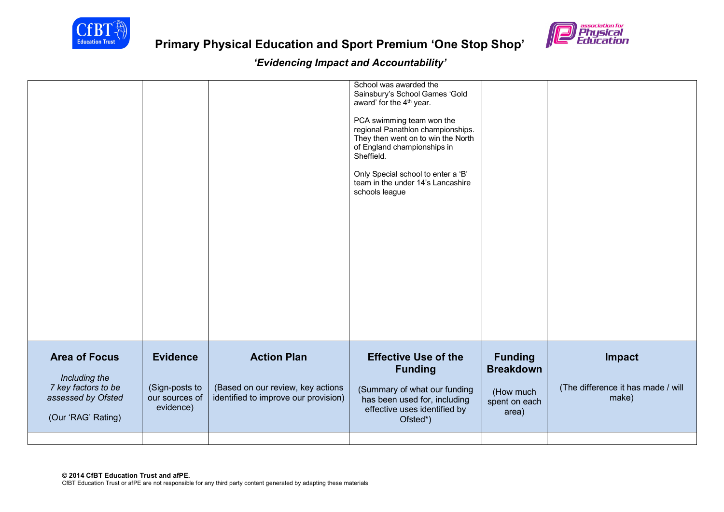

# **Primary Physical Education and Sport Premium 'One Stop Shop'**

| <b>Area of Focus</b><br>Including the<br>7 key factors to be<br>assessed by Ofsted<br>(Our 'RAG' Rating) | <b>Evidence</b><br>(Sign-posts to<br>our sources of<br>evidence) | <b>Action Plan</b><br>(Based on our review, key actions<br>identified to improve our provision) | <b>Effective Use of the</b><br><b>Funding</b><br>(Summary of what our funding<br>has been used for, including<br>effective uses identified by<br>Ofsted*)                                                                                                                                                                                          | <b>Funding</b><br><b>Breakdown</b><br>(How much<br>spent on each<br>area) | Impact<br>(The difference it has made / will<br>make) |
|----------------------------------------------------------------------------------------------------------|------------------------------------------------------------------|-------------------------------------------------------------------------------------------------|----------------------------------------------------------------------------------------------------------------------------------------------------------------------------------------------------------------------------------------------------------------------------------------------------------------------------------------------------|---------------------------------------------------------------------------|-------------------------------------------------------|
|                                                                                                          |                                                                  |                                                                                                 | School was awarded the<br>Sainsbury's School Games 'Gold<br>award' for the 4 <sup>th</sup> year.<br>PCA swimming team won the<br>regional Panathlon championships.<br>They then went on to win the North<br>of England championships in<br>Sheffield.<br>Only Special school to enter a 'B'<br>team in the under 14's Lancashire<br>schools league |                                                                           |                                                       |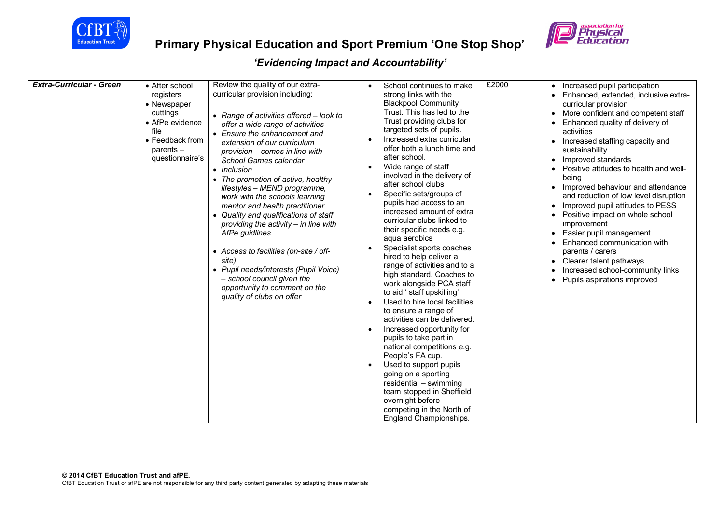

# **Primary Physical Education and Sport Premium 'One Stop Shop'**



| <b>Extra-Curricular - Green</b> | • After school<br>registers<br>• Newspaper<br>cuttings<br>• AfPe evidence<br>file<br>• Feedback from<br>$parents -$<br>questionnaire's | Review the quality of our extra-<br>curricular provision including:<br>• Range of activities offered - look to<br>offer a wide range of activities<br>• Ensure the enhancement and<br>extension of our curriculum<br>provision – comes in line with<br>School Games calendar<br>• Inclusion<br>• The promotion of active, healthy<br>lifestyles - MEND programme,<br>work with the schools learning<br>mentor and health practitioner<br>• Quality and qualifications of staff<br>providing the activity - in line with<br>AfPe guidlines<br>• Access to facilities (on-site / off-<br>site) | School continues to make<br>$\bullet$<br>strong links with the<br><b>Blackpool Community</b><br>Trust. This has led to the<br>Trust providing clubs for<br>targeted sets of pupils.<br>Increased extra curricular<br>offer both a lunch time and<br>after school.<br>Wide range of staff<br>involved in the delivery of<br>after school clubs<br>Specific sets/groups of<br>pupils had access to an<br>increased amount of extra<br>curricular clubs linked to<br>their specific needs e.g.<br>aqua aerobics<br>Specialist sports coaches<br>hired to help deliver a<br>range of activities and to a | £2000 | Increased pupil participation<br>Enhanced, extended, inclusive extra-<br>$\bullet$<br>curricular provision<br>More confident and competent staff<br>$\bullet$<br>Enhanced quality of delivery of<br>activities<br>• Increased staffing capacity and<br>sustainability<br>Improved standards<br>$\bullet$<br>Positive attitudes to health and well-<br>$\bullet$<br>being<br>• Improved behaviour and attendance<br>and reduction of low level disruption<br>Improved pupil attitudes to PESS<br>$\bullet$<br>Positive impact on whole school<br>improvement<br>Easier pupil management<br>Enhanced communication with<br>parents / carers<br>Clearer talent pathways<br>$\bullet$ |
|---------------------------------|----------------------------------------------------------------------------------------------------------------------------------------|----------------------------------------------------------------------------------------------------------------------------------------------------------------------------------------------------------------------------------------------------------------------------------------------------------------------------------------------------------------------------------------------------------------------------------------------------------------------------------------------------------------------------------------------------------------------------------------------|------------------------------------------------------------------------------------------------------------------------------------------------------------------------------------------------------------------------------------------------------------------------------------------------------------------------------------------------------------------------------------------------------------------------------------------------------------------------------------------------------------------------------------------------------------------------------------------------------|-------|-----------------------------------------------------------------------------------------------------------------------------------------------------------------------------------------------------------------------------------------------------------------------------------------------------------------------------------------------------------------------------------------------------------------------------------------------------------------------------------------------------------------------------------------------------------------------------------------------------------------------------------------------------------------------------------|
|                                 |                                                                                                                                        | • Pupil needs/interests (Pupil Voice)<br>- school council given the<br>opportunity to comment on the<br>quality of clubs on offer                                                                                                                                                                                                                                                                                                                                                                                                                                                            | high standard. Coaches to<br>work alongside PCA staff<br>to aid ' staff upskilling'<br>Used to hire local facilities<br>$\bullet$<br>to ensure a range of<br>activities can be delivered.<br>Increased opportunity for<br>$\bullet$<br>pupils to take part in<br>national competitions e.g.<br>People's FA cup.<br>Used to support pupils<br>$\bullet$<br>going on a sporting<br>residential - swimming<br>team stopped in Sheffield<br>overnight before<br>competing in the North of<br>England Championships.                                                                                      |       | Increased school-community links<br>$\bullet$<br>Pupils aspirations improved<br>$\bullet$                                                                                                                                                                                                                                                                                                                                                                                                                                                                                                                                                                                         |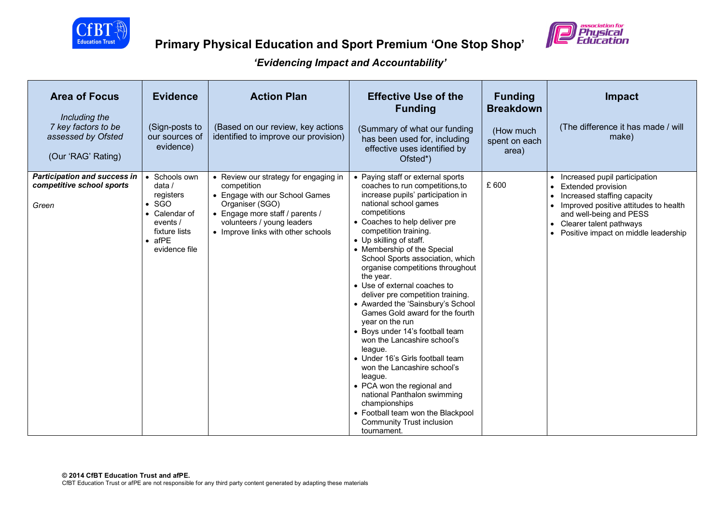



| <b>Area of Focus</b><br>Including the<br>7 key factors to be<br>assessed by Ofsted<br>(Our 'RAG' Rating) | <b>Evidence</b><br>(Sign-posts to<br>our sources of<br>evidence)                                                                         | <b>Action Plan</b><br>(Based on our review, key actions<br>identified to improve our provision)                                                                                                                  | <b>Effective Use of the</b><br><b>Funding</b><br>(Summary of what our funding<br>has been used for, including<br>effective uses identified by<br>Ofsted*)                                                                                                                                                                                                                                                                                                                                                                                                                                                                                                                                                                                                                                                                                                    | <b>Funding</b><br><b>Breakdown</b><br>(How much<br>spent on each<br>area) | <b>Impact</b><br>(The difference it has made / will<br>make)                                                                                                                                                                                                                |
|----------------------------------------------------------------------------------------------------------|------------------------------------------------------------------------------------------------------------------------------------------|------------------------------------------------------------------------------------------------------------------------------------------------------------------------------------------------------------------|--------------------------------------------------------------------------------------------------------------------------------------------------------------------------------------------------------------------------------------------------------------------------------------------------------------------------------------------------------------------------------------------------------------------------------------------------------------------------------------------------------------------------------------------------------------------------------------------------------------------------------------------------------------------------------------------------------------------------------------------------------------------------------------------------------------------------------------------------------------|---------------------------------------------------------------------------|-----------------------------------------------------------------------------------------------------------------------------------------------------------------------------------------------------------------------------------------------------------------------------|
| <b>Participation and success in</b><br>competitive school sports<br>Green                                | • Schools own<br>data $/$<br>registers<br>$\bullet$ SGO<br>• Calendar of<br>events /<br>fixture lists<br>$\bullet$ afPE<br>evidence file | • Review our strategy for engaging in<br>competition<br>• Engage with our School Games<br>Organiser (SGO)<br>• Engage more staff / parents /<br>volunteers / young leaders<br>• Improve links with other schools | • Paying staff or external sports<br>coaches to run competitions, to<br>increase pupils' participation in<br>national school games<br>competitions<br>• Coaches to help deliver pre<br>competition training.<br>• Up skilling of staff.<br>• Membership of the Special<br>School Sports association, which<br>organise competitions throughout<br>the year.<br>• Use of external coaches to<br>deliver pre competition training.<br>• Awarded the 'Sainsbury's School<br>Games Gold award for the fourth<br>year on the run<br>• Boys under 14's football team<br>won the Lancashire school's<br>league.<br>• Under 16's Girls football team<br>won the Lancashire school's<br>league.<br>• PCA won the regional and<br>national Panthalon swimming<br>championships<br>• Football team won the Blackpool<br><b>Community Trust inclusion</b><br>tournament. | £ 600                                                                     | • Increased pupil participation<br><b>Extended provision</b><br>$\bullet$<br>Increased staffing capacity<br>$\bullet$<br>Improved positive attitudes to health<br>and well-being and PESS<br>Clearer talent pathways<br>$\bullet$<br>• Positive impact on middle leadership |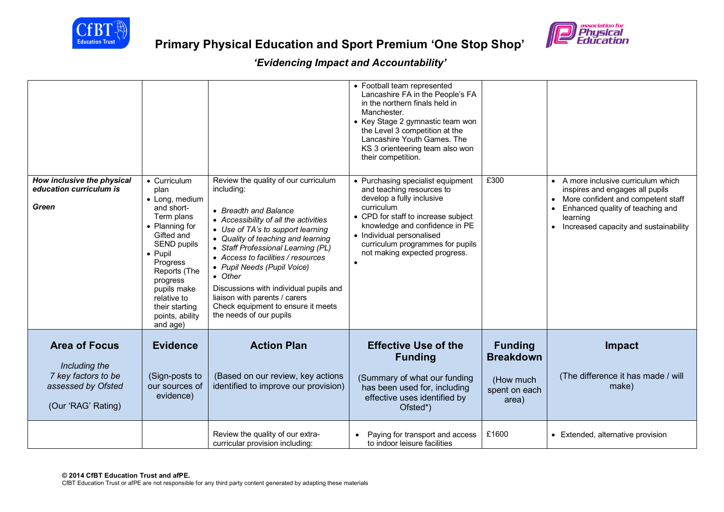

| How inclusive the physical                                   | • Curriculum                                                                                                                                                                                                                                | Review the quality of our curriculum                                                                                                                                                                                                                                                                                                                                                                                      | • Football team represented<br>Lancashire FA in the People's FA<br>in the northern finals held in<br>Manchester.<br>• Key Stage 2 gymnastic team won<br>the Level 3 competition at the<br>Lancashire Youth Games. The<br>KS 3 orienteering team also won<br>their competition.<br>• Purchasing specialist equipment | £300                                            | A more inclusive curriculum which                                                                                                                                                                     |
|--------------------------------------------------------------|---------------------------------------------------------------------------------------------------------------------------------------------------------------------------------------------------------------------------------------------|---------------------------------------------------------------------------------------------------------------------------------------------------------------------------------------------------------------------------------------------------------------------------------------------------------------------------------------------------------------------------------------------------------------------------|---------------------------------------------------------------------------------------------------------------------------------------------------------------------------------------------------------------------------------------------------------------------------------------------------------------------|-------------------------------------------------|-------------------------------------------------------------------------------------------------------------------------------------------------------------------------------------------------------|
| education curriculum is<br>Green                             | plan<br>• Long, medium<br>and short-<br>Term plans<br>• Planning for<br>Gifted and<br>SEND pupils<br>$\bullet$ Pupil<br>Progress<br>Reports (The<br>progress<br>pupils make<br>relative to<br>their starting<br>points, ability<br>and age) | including:<br>• Breadth and Balance<br>• Accessibility of all the activities<br>• Use of TA's to support learning<br>• Quality of teaching and learning<br>• Staff Professional Learning (PL)<br>• Access to facilities / resources<br>• Pupil Needs (Pupil Voice)<br>• Other<br>Discussions with individual pupils and<br>liaison with parents / carers<br>Check equipment to ensure it meets<br>the needs of our pupils | and teaching resources to<br>develop a fully inclusive<br>curriculum<br>• CPD for staff to increase subject<br>knowledge and confidence in PE<br>• Individual personalised<br>curriculum programmes for pupils<br>not making expected progress.<br>$\bullet$                                                        |                                                 | inspires and engages all pupils<br>More confident and competent staff<br>$\bullet$<br>Enhanced quality of teaching and<br>$\bullet$<br>learning<br>Increased capacity and sustainability<br>$\bullet$ |
| <b>Area of Focus</b><br>Including the<br>7 key factors to be | <b>Evidence</b><br>(Sign-posts to                                                                                                                                                                                                           | <b>Action Plan</b><br>(Based on our review, key actions                                                                                                                                                                                                                                                                                                                                                                   | <b>Effective Use of the</b><br><b>Funding</b><br>(Summary of what our funding                                                                                                                                                                                                                                       | <b>Funding</b><br><b>Breakdown</b><br>(How much | Impact<br>(The difference it has made / will                                                                                                                                                          |
| assessed by Ofsted<br>(Our 'RAG' Rating)                     | our sources of<br>evidence)                                                                                                                                                                                                                 | identified to improve our provision)                                                                                                                                                                                                                                                                                                                                                                                      | has been used for, including<br>effective uses identified by<br>Ofsted*)                                                                                                                                                                                                                                            | spent on each<br>area)                          | make)                                                                                                                                                                                                 |
|                                                              |                                                                                                                                                                                                                                             | Review the quality of our extra-<br>curricular provision including:                                                                                                                                                                                                                                                                                                                                                       | Paying for transport and access<br>to indoor leisure facilities                                                                                                                                                                                                                                                     | £1600                                           | • Extended, alternative provision                                                                                                                                                                     |

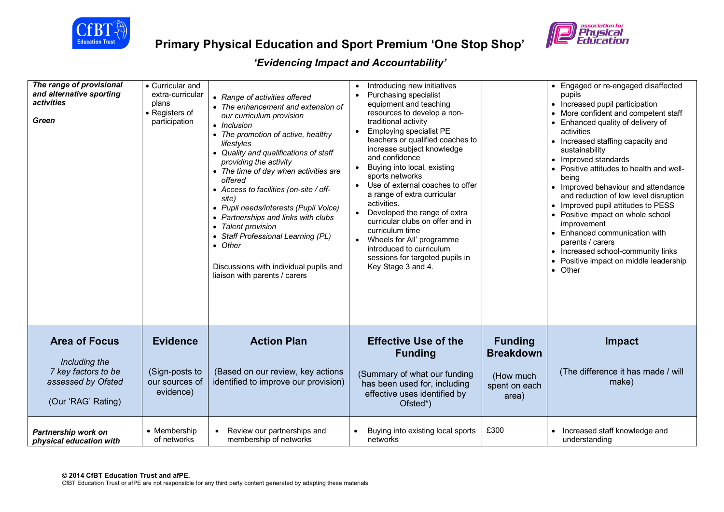



| The range of provisional<br>and alternative sporting<br>activities<br><b>Green</b>                       | • Curricular and<br>extra-curricular<br>plans<br>• Registers of<br>participation | • Range of activities offered<br>• The enhancement and extension of<br>our curriculum provision<br>• Inclusion<br>• The promotion of active, healthy<br>lifestyles<br>• Quality and qualifications of staff<br>providing the activity<br>• The time of day when activities are<br>offered<br>• Access to facilities (on-site / off-<br>site)<br>• Pupil needs/interests (Pupil Voice)<br>• Partnerships and links with clubs<br>• Talent provision<br>• Staff Professional Learning (PL)<br>• Other<br>Discussions with individual pupils and<br>liaison with parents / carers | Introducing new initiatives<br>Purchasing specialist<br>$\bullet$<br>equipment and teaching<br>resources to develop a non-<br>traditional activity<br><b>Employing specialist PE</b><br>$\bullet$<br>teachers or qualified coaches to<br>increase subject knowledge<br>and confidence<br>Buying into local, existing<br>sports networks<br>• Use of external coaches to offer<br>a range of extra curricular<br>activities.<br>• Developed the range of extra<br>curricular clubs on offer and in<br>curriculum time<br>Wheels for All' programme<br>introduced to curriculum<br>sessions for targeted pupils in<br>Key Stage 3 and 4. |                                                                           | • Engaged or re-engaged disaffected<br>pupils<br>• Increased pupil participation<br>More confident and competent staff<br>Enhanced quality of delivery of<br>activities<br>Increased staffing capacity and<br>$\bullet$<br>sustainability<br>• Improved standards<br>• Positive attitudes to health and well-<br>beina<br>• Improved behaviour and attendance<br>and reduction of low level disruption<br>• Improved pupil attitudes to PESS<br>Positive impact on whole school<br>improvement<br>• Enhanced communication with<br>parents / carers<br>• Increased school-community links<br>Positive impact on middle leadership<br>• Other |
|----------------------------------------------------------------------------------------------------------|----------------------------------------------------------------------------------|--------------------------------------------------------------------------------------------------------------------------------------------------------------------------------------------------------------------------------------------------------------------------------------------------------------------------------------------------------------------------------------------------------------------------------------------------------------------------------------------------------------------------------------------------------------------------------|----------------------------------------------------------------------------------------------------------------------------------------------------------------------------------------------------------------------------------------------------------------------------------------------------------------------------------------------------------------------------------------------------------------------------------------------------------------------------------------------------------------------------------------------------------------------------------------------------------------------------------------|---------------------------------------------------------------------------|----------------------------------------------------------------------------------------------------------------------------------------------------------------------------------------------------------------------------------------------------------------------------------------------------------------------------------------------------------------------------------------------------------------------------------------------------------------------------------------------------------------------------------------------------------------------------------------------------------------------------------------------|
| <b>Area of Focus</b><br>Including the<br>7 key factors to be<br>assessed by Ofsted<br>(Our 'RAG' Rating) | <b>Evidence</b><br>(Sign-posts to<br>our sources of<br>evidence)                 | <b>Action Plan</b><br>(Based on our review, key actions<br>identified to improve our provision)                                                                                                                                                                                                                                                                                                                                                                                                                                                                                | <b>Effective Use of the</b><br><b>Funding</b><br>(Summary of what our funding<br>has been used for, including<br>effective uses identified by<br>Ofsted*)                                                                                                                                                                                                                                                                                                                                                                                                                                                                              | <b>Funding</b><br><b>Breakdown</b><br>(How much<br>spent on each<br>area) | Impact<br>(The difference it has made / will<br>make)                                                                                                                                                                                                                                                                                                                                                                                                                                                                                                                                                                                        |
| Partnership work on<br>physical education with                                                           | • Membership<br>of networks                                                      | Review our partnerships and<br>membership of networks                                                                                                                                                                                                                                                                                                                                                                                                                                                                                                                          | Buying into existing local sports<br>networks                                                                                                                                                                                                                                                                                                                                                                                                                                                                                                                                                                                          | £300                                                                      | Increased staff knowledge and<br>understanding                                                                                                                                                                                                                                                                                                                                                                                                                                                                                                                                                                                               |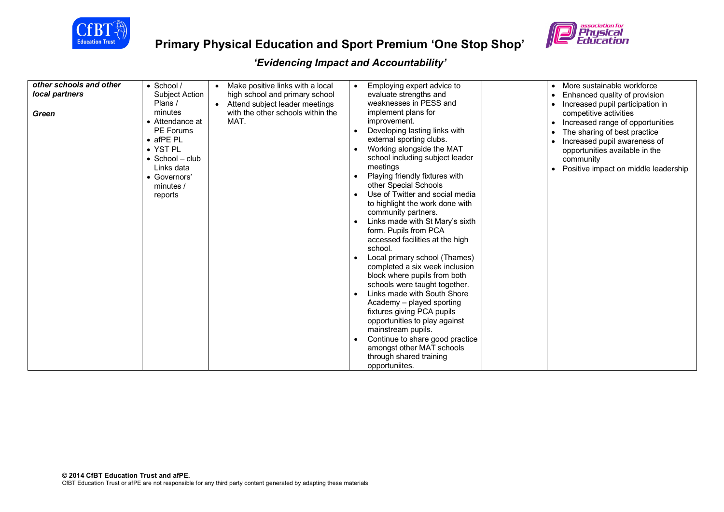



| other schools and other | $\bullet$ School /      | Make positive links with a local            | Employing expert advice to<br>$\bullet$                      | More sustainable workforce<br>$\bullet$       |
|-------------------------|-------------------------|---------------------------------------------|--------------------------------------------------------------|-----------------------------------------------|
| local partners          | Subject Action          | high school and primary school              | evaluate strengths and                                       | Enhanced quality of provision<br>$\bullet$    |
|                         | Plans /                 | Attend subject leader meetings<br>$\bullet$ | weaknesses in PESS and                                       | Increased pupil participation in<br>$\bullet$ |
| Green                   | minutes                 | with the other schools within the           | implement plans for                                          | competitive activities                        |
|                         | • Attendance at         | MAT.                                        | improvement.                                                 | Increased range of opportunities              |
|                         | <b>PE Forums</b>        |                                             | Developing lasting links with                                | The sharing of best practice                  |
|                         | $\bullet$ afPE PL       |                                             | external sporting clubs.                                     | Increased pupil awareness of                  |
|                         | • YST PL                |                                             | Working alongside the MAT                                    | opportunities available in the                |
|                         | $\bullet$ School - club |                                             | school including subject leader                              | community                                     |
|                         | Links data              |                                             | meetings                                                     | Positive impact on middle leadership          |
|                         | • Governors'            |                                             | Playing friendly fixtures with                               |                                               |
|                         | minutes /               |                                             | other Special Schools                                        |                                               |
|                         | reports                 |                                             | Use of Twitter and social media                              |                                               |
|                         |                         |                                             | to highlight the work done with                              |                                               |
|                         |                         |                                             | community partners.                                          |                                               |
|                         |                         |                                             | Links made with St Mary's sixth                              |                                               |
|                         |                         |                                             | form. Pupils from PCA                                        |                                               |
|                         |                         |                                             | accessed facilities at the high                              |                                               |
|                         |                         |                                             | school.                                                      |                                               |
|                         |                         |                                             | Local primary school (Thames)                                |                                               |
|                         |                         |                                             | completed a six week inclusion                               |                                               |
|                         |                         |                                             | block where pupils from both                                 |                                               |
|                         |                         |                                             | schools were taught together.                                |                                               |
|                         |                         |                                             | Links made with South Shore<br>$\bullet$                     |                                               |
|                         |                         |                                             | Academy - played sporting                                    |                                               |
|                         |                         |                                             | fixtures giving PCA pupils                                   |                                               |
|                         |                         |                                             | opportunities to play against<br>mainstream pupils.          |                                               |
|                         |                         |                                             |                                                              |                                               |
|                         |                         |                                             | Continue to share good practice<br>amongst other MAT schools |                                               |
|                         |                         |                                             | through shared training                                      |                                               |
|                         |                         |                                             | opportuniites.                                               |                                               |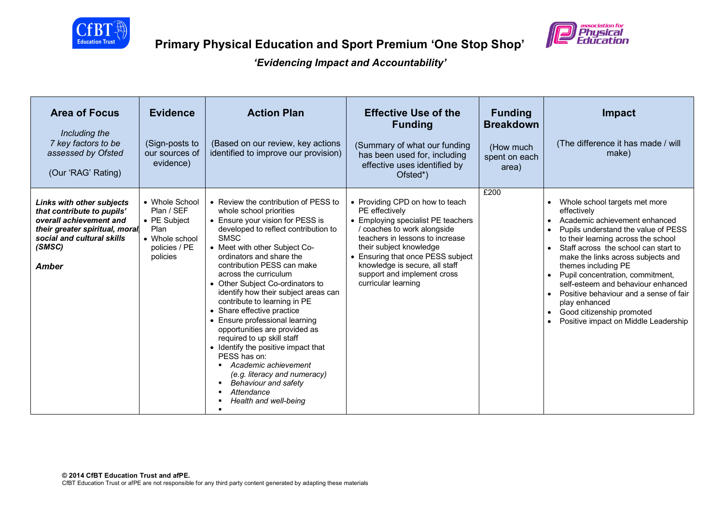



| <b>Area of Focus</b><br>Including the<br>7 key factors to be<br>assessed by Ofsted<br>(Our 'RAG' Rating)                                                                            | <b>Evidence</b><br>(Sign-posts to<br>our sources of<br>evidence)                                    | <b>Action Plan</b><br>(Based on our review, key actions<br>identified to improve our provision)                                                                                                                                                                                                                                                                                                                                                                                                                                                                                                                                                                                                                   | <b>Effective Use of the</b><br><b>Funding</b><br>(Summary of what our funding<br>has been used for, including<br>effective uses identified by<br>Ofsted*)                                                                                                                                                       | <b>Funding</b><br><b>Breakdown</b><br>(How much<br>spent on each<br>area) | <b>Impact</b><br>(The difference it has made / will<br>make)                                                                                                                                                                                                                                                                                                                                                                                                                                                                                             |
|-------------------------------------------------------------------------------------------------------------------------------------------------------------------------------------|-----------------------------------------------------------------------------------------------------|-------------------------------------------------------------------------------------------------------------------------------------------------------------------------------------------------------------------------------------------------------------------------------------------------------------------------------------------------------------------------------------------------------------------------------------------------------------------------------------------------------------------------------------------------------------------------------------------------------------------------------------------------------------------------------------------------------------------|-----------------------------------------------------------------------------------------------------------------------------------------------------------------------------------------------------------------------------------------------------------------------------------------------------------------|---------------------------------------------------------------------------|----------------------------------------------------------------------------------------------------------------------------------------------------------------------------------------------------------------------------------------------------------------------------------------------------------------------------------------------------------------------------------------------------------------------------------------------------------------------------------------------------------------------------------------------------------|
| <b>Links with other subjects</b><br>that contribute to pupils'<br>overall achievement and<br>their greater spiritual, moral<br>social and cultural skills<br>(SMSC)<br><b>Amber</b> | • Whole School<br>Plan / SEF<br>• PE Subject<br>Plan<br>• Whole school<br>policies / PE<br>policies | • Review the contribution of PESS to<br>whole school priorities<br>• Ensure your vision for PESS is<br>developed to reflect contribution to<br><b>SMSC</b><br>• Meet with other Subject Co-<br>ordinators and share the<br>contribution PESS can make<br>across the curriculum<br>• Other Subject Co-ordinators to<br>identify how their subject areas can<br>contribute to learning in PE<br>• Share effective practice<br>• Ensure professional learning<br>opportunities are provided as<br>required to up skill staff<br>• Identify the positive impact that<br>PESS has on:<br>Academic achievement<br>٠<br>(e.g. literacy and numeracy)<br>Behaviour and safety<br>٠<br>Attendance<br>Health and well-being | • Providing CPD on how to teach<br>PE effectively<br>• Employing specialist PE teachers<br>coaches to work alongside<br>teachers in lessons to increase<br>their subject knowledge<br>• Ensuring that once PESS subject<br>knowledge is secure, all staff<br>support and implement cross<br>curricular learning | £200                                                                      | Whole school targets met more<br>$\bullet$<br>effectively<br>Academic achievement enhanced<br>$\bullet$<br>Pupils understand the value of PESS<br>$\bullet$<br>to their learning across the school<br>Staff across the school can start to<br>make the links across subjects and<br>themes including PE<br>Pupil concentration, commitment,<br>self-esteem and behaviour enhanced<br>Positive behaviour and a sense of fair<br>$\bullet$<br>play enhanced<br>Good citizenship promoted<br>$\bullet$<br>Positive impact on Middle Leadership<br>$\bullet$ |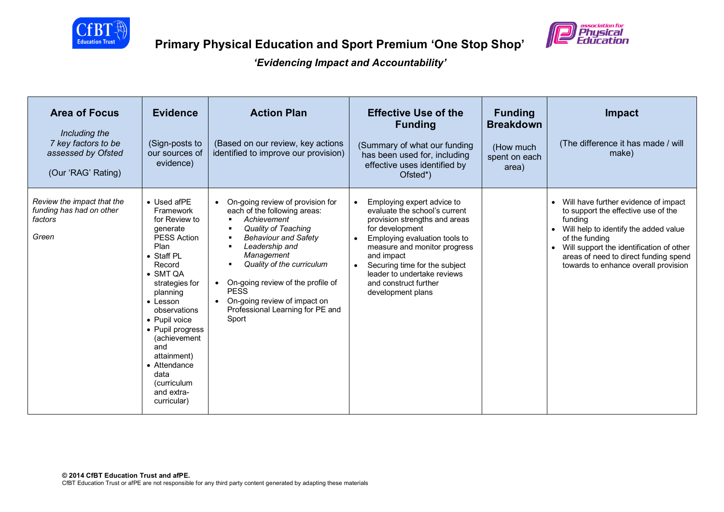



| <b>Area of Focus</b><br>Including the<br>7 key factors to be<br>assessed by Ofsted<br>(Our 'RAG' Rating) | <b>Evidence</b><br>(Sign-posts to<br>our sources of<br>evidence)                                                                                                                                                                                                                                                                                          | <b>Action Plan</b><br>(Based on our review, key actions<br>identified to improve our provision)                                                                                                                                                                                                                                                                                                       | <b>Effective Use of the</b><br><b>Funding</b><br>(Summary of what our funding<br>has been used for, including<br>effective uses identified by<br>Ofsted*)                                                                                                                                                                              | <b>Funding</b><br><b>Breakdown</b><br>(How much<br>spent on each<br>area) | <b>Impact</b><br>(The difference it has made / will<br>make)                                                                                                                                                                                                                                             |
|----------------------------------------------------------------------------------------------------------|-----------------------------------------------------------------------------------------------------------------------------------------------------------------------------------------------------------------------------------------------------------------------------------------------------------------------------------------------------------|-------------------------------------------------------------------------------------------------------------------------------------------------------------------------------------------------------------------------------------------------------------------------------------------------------------------------------------------------------------------------------------------------------|----------------------------------------------------------------------------------------------------------------------------------------------------------------------------------------------------------------------------------------------------------------------------------------------------------------------------------------|---------------------------------------------------------------------------|----------------------------------------------------------------------------------------------------------------------------------------------------------------------------------------------------------------------------------------------------------------------------------------------------------|
| Review the impact that the<br>funding has had on other<br>factors<br>Green                               | • Used afPE<br>Framework<br>for Review to<br>generate<br><b>PESS Action</b><br>Plan<br>• Staff PL<br>Record<br>$\bullet$ SMT QA<br>strategies for<br>planning<br>$\bullet$ Lesson<br>observations<br>• Pupil voice<br>• Pupil progress<br>(achievement<br>and<br>attainment)<br>• Attendance<br>data<br><i>(curriculum</i> )<br>and extra-<br>curricular) | On-going review of provision for<br>$\bullet$<br>each of the following areas:<br>Achievement<br>$\blacksquare$<br>Quality of Teaching<br>в<br><b>Behaviour and Safety</b><br>л<br>Leadership and<br>в<br>Management<br>Quality of the curriculum<br>٠<br>On-going review of the profile of<br>$\bullet$<br><b>PESS</b><br>• On-going review of impact on<br>Professional Learning for PE and<br>Sport | Employing expert advice to<br>$\bullet$<br>evaluate the school's current<br>provision strengths and areas<br>for development<br>Employing evaluation tools to<br>$\bullet$<br>measure and monitor progress<br>and impact<br>Securing time for the subject<br>leader to undertake reviews<br>and construct further<br>development plans |                                                                           | Will have further evidence of impact<br>$\bullet$<br>to support the effective use of the<br>fundina<br>Will help to identify the added value<br>$\bullet$<br>of the funding<br>Will support the identification of other<br>areas of need to direct funding spend<br>towards to enhance overall provision |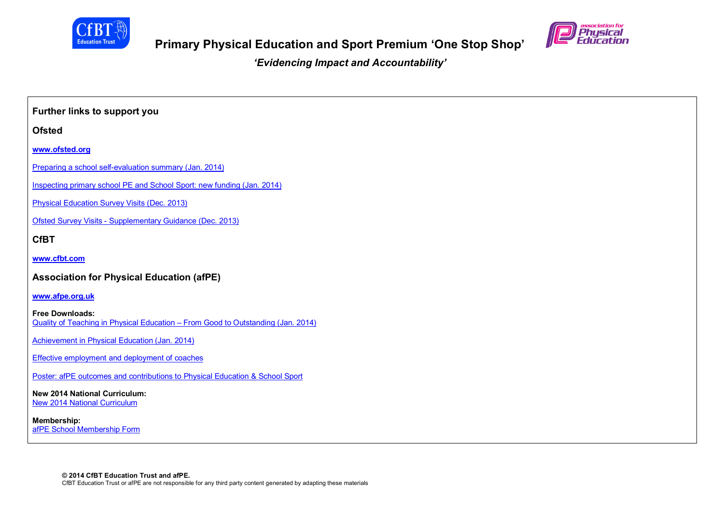



**Further links to support you Ofsted www.ofsted.org** Preparing a school self-evaluation summary (Jan. 2014) Inspecting primary school PE and School Sport: new funding (Jan. 2014) Physical Education Survey Visits (Dec. 2013) Ofsted Survey Visits - Supplementary Guidance (Dec. 2013) **CfBT www.cfbt.com Association for Physical Education (afPE) www.afpe.org.uk Free Downloads:** Quality of Teaching in Physical Education – From Good to Outstanding (Jan. 2014) Achievement in Physical Education (Jan. 2014) Effective employment and deployment of coaches Poster: afPE outcomes and contributions to Physical Education & School Sport **New 2014 National Curriculum:** New 2014 National Curriculum **Membership:** afPE School Membership Form